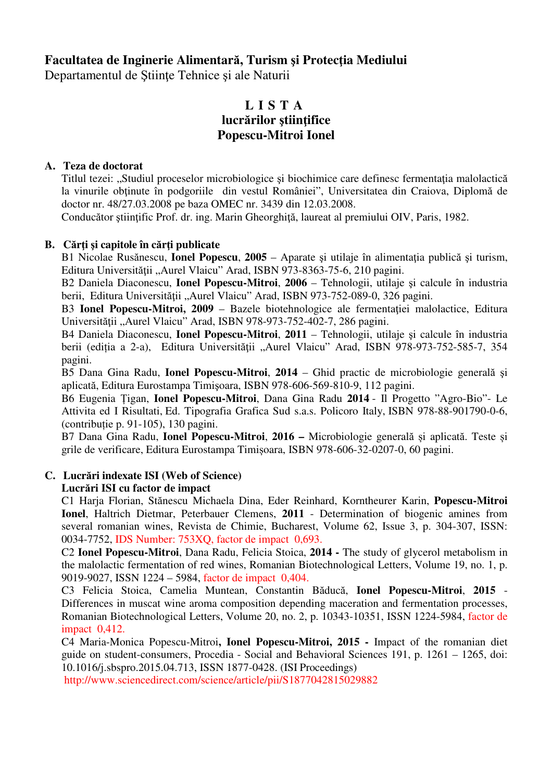## **Facultatea de Inginerie Alimentar**ă**, Turism** ş**i Protec**ţ**ia Mediului**

Departamentul de Ştiinţe Tehnice şi ale Naturii

# **L I S T A lucr**ă**rilor** ş**tiin**ţ**ifice Popescu-Mitroi Ionel**

## **A. Teza de doctorat**

Titlul tezei: "Studiul proceselor microbiologice și biochimice care definesc fermentația malolactică la vinurile obţinute în podgoriile din vestul României", Universitatea din Craiova, Diplomă de doctor nr. 48/27.03.2008 pe baza OMEC nr. 3439 din 12.03.2008.

Conducător ştiinţific Prof. dr. ing. Marin Gheorghiţă, laureat al premiului OIV, Paris, 1982.

## **B. C**ă**r**ţ**i** ş**i capitole în c**ă**r**ţ**i publicate**

B1 Nicolae Rusănescu, **Ionel Popescu**, **2005** – Aparate şi utilaje în alimentaţia publică şi turism, Editura Universității "Aurel Vlaicu" Arad, ISBN 973-8363-75-6, 210 pagini.

B2 Daniela Diaconescu, **Ionel Popescu-Mitroi**, **2006** – Tehnologii, utilaje şi calcule în industria berii, Editura Universității "Aurel Vlaicu" Arad, ISBN 973-752-089-0, 326 pagini.

B3 **Ionel Popescu-Mitroi, 2009** – Bazele biotehnologice ale fermentației malolactice, Editura Universității "Aurel Vlaicu" Arad, ISBN 978-973-752-402-7, 286 pagini.

B4 Daniela Diaconescu, **Ionel Popescu-Mitroi**, **2011** – Tehnologii, utilaje şi calcule în industria berii (ediția a 2-a), Editura Universității "Aurel Vlaicu" Arad, ISBN 978-973-752-585-7, 354 pagini.

B5 Dana Gina Radu, **Ionel Popescu-Mitroi**, **2014** – Ghid practic de microbiologie generală şi aplicată, Editura Eurostampa Timişoara, ISBN 978-606-569-810-9, 112 pagini.

B6 Eugenia Țigan, **Ionel Popescu-Mitroi**, Dana Gina Radu **2014** - Il Progetto "Agro-Bio"- Le Attivita ed I Risultati, Ed. Tipografia Grafica Sud s.a.s. Policoro Italy, ISBN 978-88-901790-0-6, (contribuție p. 91-105), 130 pagini.

B7 Dana Gina Radu, **Ionel Popescu-Mitroi**, **2016 –** Microbiologie generală și aplicată. Teste și grile de verificare, Editura Eurostampa Timișoara, ISBN 978-606-32-0207-0, 60 pagini.

## **C. Lucr**ă**ri indexate ISI (Web of Science)**

#### **Lucr**ă**ri ISI cu factor de impact**

C1 Harja Florian, Stănescu Michaela Dina, Eder Reinhard, Korntheurer Karin, **Popescu-Mitroi Ionel**, Haltrich Dietmar, Peterbauer Clemens, **2011** - Determination of biogenic amines from several romanian wines, Revista de Chimie, Bucharest, Volume 62, Issue 3, p. 304-307, ISSN: 0034-7752, IDS Number: 753XQ, factor de impact 0,693.

C2 **Ionel Popescu-Mitroi**, Dana Radu, Felicia Stoica, **2014 -** The study of glycerol metabolism in the malolactic fermentation of red wines, Romanian Biotechnological Letters, Volume 19, no. 1, p. 9019-9027, ISSN 1224 – 5984, factor de impact 0,404.

C3 Felicia Stoica, Camelia Muntean, Constantin Băducă, **Ionel Popescu-Mitroi**, **2015** - Differences in muscat wine aroma composition depending maceration and fermentation processes, Romanian Biotechnological Letters, Volume 20, no. 2, p. 10343-10351, ISSN 1224-5984, factor de impact 0,412.

C4 Maria-Monica Popescu-Mitroi**, Ionel Popescu-Mitroi, 2015 -** Impact of the romanian diet guide on student-consumers, Procedia - Social and Behavioral Sciences 191, p. 1261 – 1265, doi: 10.1016/j.sbspro.2015.04.713, ISSN 1877-0428. (ISI Proceedings)

http://www.sciencedirect.com/science/article/pii/S1877042815029882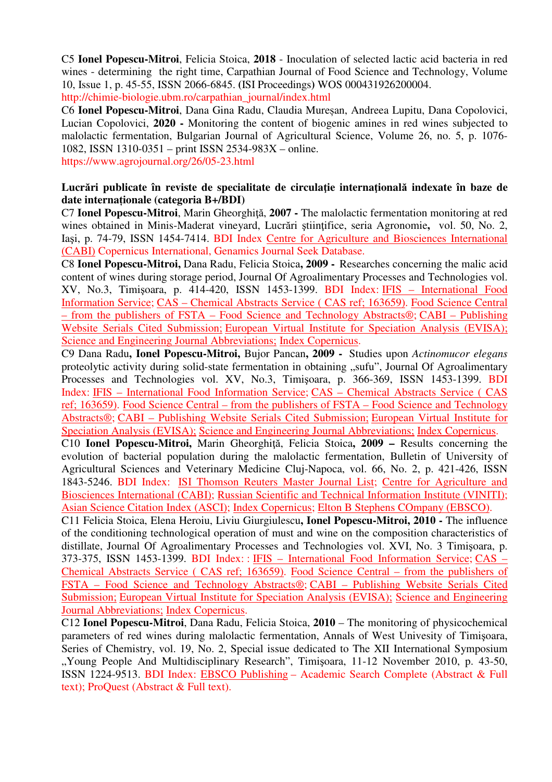C5 **Ionel Popescu-Mitroi**, Felicia Stoica, **2018** - Inoculation of selected lactic acid bacteria in red wines - determining the right time, Carpathian Journal of Food Science and Technology, Volume 10, Issue 1, p. 45-55, ISSN 2066-6845. **(**ISI Proceedings**)** WOS 000431926200004. http://chimie-biologie.ubm.ro/carpathian\_journal/index.html

C6 **Ionel Popescu-Mitroi**, Dana Gina Radu, Claudia Mureșan, Andreea Lupitu, Dana Copolovici, Lucian Copolovici, **2020 -** Monitoring the content of biogenic amines in red wines subjected to malolactic fermentation, Bulgarian Journal of Agricultural Science, Volume 26, no. 5, p. 1076- 1082, ISSN 1310-0351 – print ISSN 2534-983X – online.

https://www.agrojournal.org/26/05-23.html

#### Lucrări publicate în reviste de specialitate de circulație internațională indexate în baze de **date interna**ț**ionale (categoria B+/BDI)**

C7 **Ionel Popescu-Mitroi**, Marin Gheorghiţă, **2007 -** The malolactic fermentation monitoring at red wines obtained in Minis-Maderat vineyard, Lucrări ştiinţifice, seria Agronomie**,** vol. 50, No. 2, Iaşi, p. 74-79, ISSN 1454-7414. BDI Index Centre for Agriculture and Biosciences International (CABI) Copernicus International, Genamics Journal Seek Database.

C8 **Ionel Popescu-Mitroi,** Dana Radu, Felicia Stoica**, 2009 -** Researches concerning the malic acid content of wines during storage period, Journal Of Agroalimentary Processes and Technologies vol. XV, No.3, Timişoara, p. 414-420, ISSN 1453-1399. BDI Index: IFIS – International Food Information Service; CAS – Chemical Abstracts Service ( CAS ref; 163659). Food Science Central – from the publishers of FSTA – Food Science and Technology Abstracts®; CABI – Publishing Website Serials Cited Submission; European Virtual Institute for Speciation Analysis (EVISA); Science and Engineering Journal Abbreviations; Index Copernicus.

C9 Dana Radu**, Ionel Popescu-Mitroi,** Bujor Pancan**, 2009 -** Studies upon *Actinomucor elegans* proteolytic activity during solid-state fermentation in obtaining "sufu", Journal Of Agroalimentary Processes and Technologies vol. XV, No.3, Timişoara, p. 366-369, ISSN 1453-1399. BDI Index: IFIS – International Food Information Service; CAS – Chemical Abstracts Service ( CAS ref; 163659). Food Science Central – from the publishers of FSTA – Food Science and Technology Abstracts®; CABI – Publishing Website Serials Cited Submission; European Virtual Institute for Speciation Analysis (EVISA); Science and Engineering Journal Abbreviations; Index Copernicus.

C10 **Ionel Popescu-Mitroi,** Marin Gheorghiţă, Felicia Stoica**, 2009 –** Results concerning the evolution of bacterial population during the malolactic fermentation, Bulletin of University of Agricultural Sciences and Veterinary Medicine Cluj-Napoca, vol. 66, No. 2, p. 421-426, ISSN 1843-5246. BDI Index: ISI Thomson Reuters Master Journal List; Centre for Agriculture and Biosciences International (CABI); Russian Scientific and Technical Information Institute (VINITI); Asian Science Citation Index (ASCI); Index Copernicus; Elton B Stephens COmpany (EBSCO).

C11 Felicia Stoica, Elena Heroiu, Liviu Giurgiulescu**, Ionel Popescu-Mitroi, 2010 -** The influence of the conditioning technological operation of must and wine on the composition characteristics of distillate, Journal Of Agroalimentary Processes and Technologies vol. XVI, No. 3 Timişoara, p. 373-375, ISSN 1453-1399. BDI Index: : IFIS – International Food Information Service; CAS – Chemical Abstracts Service ( CAS ref; 163659). Food Science Central – from the publishers of FSTA – Food Science and Technology Abstracts®; CABI – Publishing Website Serials Cited Submission; European Virtual Institute for Speciation Analysis (EVISA); Science and Engineering Journal Abbreviations; Index Copernicus.

C12 **Ionel Popescu-Mitroi**, Dana Radu, Felicia Stoica, **2010** – The monitoring of physicochemical parameters of red wines during malolactic fermentation, Annals of West Univesity of Timişoara, Series of Chemistry, vol. 19, No. 2, Special issue dedicated to The XII International Symposium "Young People And Multidisciplinary Research", Timișoara, 11-12 November 2010, p. 43-50, ISSN 1224-9513. BDI Index: EBSCO Publishing – Academic Search Complete (Abstract & Full text); ProQuest (Abstract & Full text).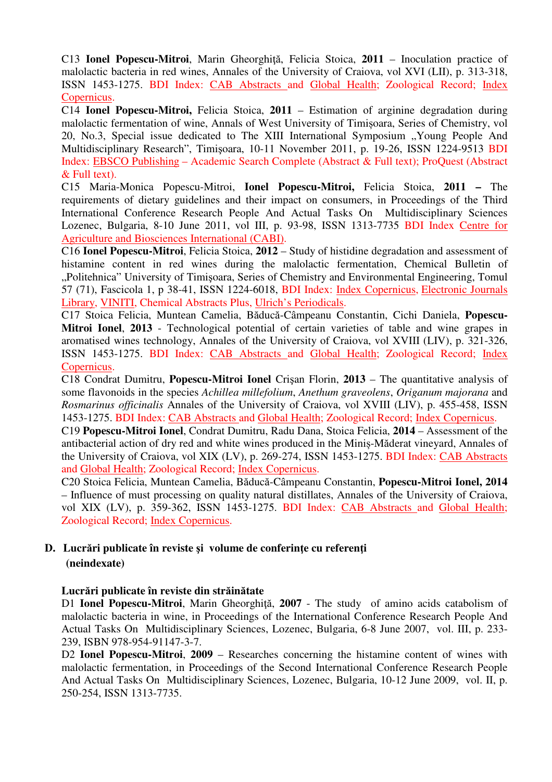C13 **Ionel Popescu-Mitroi**, Marin Gheorghită, Felicia Stoica, 2011 – Inoculation practice of malolactic bacteria in red wines, Annales of the University of Craiova, vol XVI (LII), p. 313-318, ISSN 1453-1275. BDI Index: CAB Abstracts and Global Health; Zoological Record; Index Copernicus.

C14 **Ionel Popescu-Mitroi,** Felicia Stoica, **2011** – Estimation of arginine degradation during malolactic fermentation of wine, Annals of West University of Timișoara, Series of Chemistry, vol 20, No.3, Special issue dedicated to The XIII International Symposium "Young People And Multidisciplinary Research", Timişoara, 10-11 November 2011, p. 19-26, ISSN 1224-9513 BDI Index: EBSCO Publishing – Academic Search Complete (Abstract & Full text); ProQuest (Abstract & Full text).

C15 Maria-Monica Popescu-Mitroi, **Ionel Popescu-Mitroi,** Felicia Stoica, **2011 –** The requirements of dietary guidelines and their impact on consumers, in Proceedings of the Third International Conference Research People And Actual Tasks On Multidisciplinary Sciences Lozenec, Bulgaria, 8-10 June 2011, vol III, p. 93-98, ISSN 1313-7735 BDI Index Centre for Agriculture and Biosciences International (CABI).

C16 **Ionel Popescu-Mitroi**, Felicia Stoica, **2012** – Study of histidine degradation and assessment of histamine content in red wines during the malolactic fermentation, Chemical Bulletin of "Politehnica" University of Timişoara, Series of Chemistry and Environmental Engineering, Tomul 57 (71), Fascicola 1, p 38-41, ISSN 1224-6018, BDI Index: Index Copernicus, Electronic Journals Library, VINITI, Chemical Abstracts Plus, Ulrich's Periodicals.

C17 Stoica Felicia, Muntean Camelia, Băducă-Câmpeanu Constantin, Cichi Daniela, **Popescu-Mitroi Ionel**, **2013** - Technological potential of certain varieties of table and wine grapes in aromatised wines technology, Annales of the University of Craiova, vol XVIII (LIV), p. 321-326, ISSN 1453-1275. BDI Index: CAB Abstracts and Global Health; Zoological Record; Index Copernicus.

C18 Condrat Dumitru, **Popescu-Mitroi Ionel** Crişan Florin, **2013** – The quantitative analysis of some flavonoids in the species *Achillea millefolium*, *Anethum graveolens*, *Origanum majorana* and *Rosmarinus officinalis* Annales of the University of Craiova, vol XVIII (LIV), p. 455-458, ISSN 1453-1275. BDI Index: CAB Abstracts and Global Health; Zoological Record; Index Copernicus.

C19 **Popescu-Mitroi Ionel**, Condrat Dumitru, Radu Dana, Stoica Felicia, **2014** – Assessment of the antibacterial action of dry red and white wines produced in the Miniș-Măderat vineyard, Annales of the University of Craiova, vol XIX (LV), p. 269-274, ISSN 1453-1275. BDI Index: CAB Abstracts and Global Health; Zoological Record; Index Copernicus.

C20 Stoica Felicia, Muntean Camelia, Băducă-Câmpeanu Constantin, **Popescu-Mitroi Ionel, 2014** – Influence of must processing on quality natural distillates, Annales of the University of Craiova, vol XIX (LV), p. 359-362, ISSN 1453-1275. BDI Index: CAB Abstracts and Global Health; Zoological Record; Index Copernicus.

## **D. Lucr**ă**ri publicate în reviste** ş**i volume de conferin**ţ**e cu referen**ţ**i (neindexate)**

## **Lucr**ă**ri publicate în reviste din str**ă**in**ă**tate**

D1 **Ionel Popescu-Mitroi**, Marin Gheorghiţă, **2007** - The study of amino acids catabolism of malolactic bacteria in wine, in Proceedings of the International Conference Research People And Actual Tasks On Multidisciplinary Sciences, Lozenec, Bulgaria, 6-8 June 2007, vol. III, p. 233- 239, ISBN 978-954-91147-3-7.

D2 **Ionel Popescu-Mitroi**, **2009** – Researches concerning the histamine content of wines with malolactic fermentation, in Proceedings of the Second International Conference Research People And Actual Tasks On Multidisciplinary Sciences, Lozenec, Bulgaria, 10-12 June 2009, vol. II, p. 250-254, ISSN 1313-7735.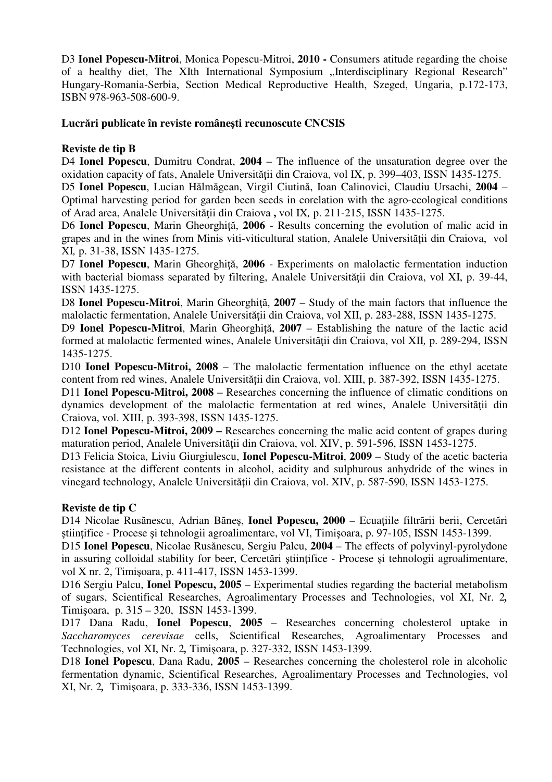D3 **Ionel Popescu-Mitroi**, Monica Popescu-Mitroi, **2010 -** Consumers atitude regarding the choise of a healthy diet, The XIth International Symposium "Interdisciplinary Regional Research" Hungary-Romania-Serbia, Section Medical Reproductive Health, Szeged, Ungaria, p.172-173, ISBN 978-963-508-600-9.

## **Lucr**ă**ri publicate în reviste române**ş**ti recunoscute CNCSIS**

## **Reviste de tip B**

D4 **Ionel Popescu**, Dumitru Condrat, **2004** – The influence of the unsaturation degree over the oxidation capacity of fats, Analele Universităţii din Craiova, vol IX, p. 399–403, ISSN 1435-1275.

D5 **Ionel Popescu**, Lucian Hălmăgean, Virgil Ciutină, Ioan Calinovici, Claudiu Ursachi, **2004** – Optimal harvesting period for garden been seeds in corelation with the agro-ecological conditions of Arad area, Analele Universităţii din Craiova **,** vol IX*,* p. 211-215, ISSN 1435-1275.

D6 **Ionel Popescu**, Marin Gheorghiţă, **2006** - Results concerning the evolution of malic acid in grapes and in the wines from Minis viti-viticultural station, Analele Universităţii din Craiova, vol XI*,* p. 31-38, ISSN 1435-1275.

D7 **Ionel Popescu**, Marin Gheorghiţă, **2006** - Experiments on malolactic fermentation induction with bacterial biomass separated by filtering, Analele Universității din Craiova, vol XI, p. 39-44, ISSN 1435-1275.

D8 **Ionel Popescu-Mitroi**, Marin Gheorghiţă, **2007** – Study of the main factors that influence the malolactic fermentation, Analele Universităţii din Craiova, vol XII, p. 283-288, ISSN 1435-1275.

D9 **Ionel Popescu-Mitroi**, Marin Gheorghiță, 2007 – Establishing the nature of the lactic acid formed at malolactic fermented wines. Analele Universității din Craiova, vol XII, p. 289-294, ISSN 1435-1275.

D10 **Ionel Popescu-Mitroi, 2008** – The malolactic fermentation influence on the ethyl acetate content from red wines, Analele Universităţii din Craiova, vol. XIII, p. 387-392, ISSN 1435-1275.

D11 **Ionel Popescu-Mitroi, 2008** – Researches concerning the influence of climatic conditions on dynamics development of the malolactic fermentation at red wines, Analele Universității din Craiova, vol. XIII, p. 393-398, ISSN 1435-1275.

D12 **Ionel Popescu-Mitroi, 2009 –** Researches concerning the malic acid content of grapes during maturation period, Analele Universităţii din Craiova, vol. XIV, p. 591-596, ISSN 1453-1275.

D13 Felicia Stoica, Liviu Giurgiulescu, **Ionel Popescu-Mitroi**, **2009** – Study of the acetic bacteria resistance at the different contents in alcohol, acidity and sulphurous anhydride of the wines in vinegard technology, Analele Universității din Craiova, vol. XIV, p. 587-590, ISSN 1453-1275.

## **Reviste de tip C**

D14 Nicolae Rusănescu, Adrian Băneş, **Ionel Popescu, 2000** – Ecuaţiile filtrării berii, Cercetări ştiinţifice - Procese şi tehnologii agroalimentare, vol VI, Timişoara, p. 97-105, ISSN 1453-1399.

D15 **Ionel Popescu**, Nicolae Rusănescu, Sergiu Palcu, **2004** – The effects of polyvinyl-pyrolydone in assuring colloidal stability for beer, Cercetări ştiinţifice - Procese şi tehnologii agroalimentare, vol X nr. 2, Timişoara, p. 411-417, ISSN 1453-1399.

D16 Sergiu Palcu, **Ionel Popescu, 2005** – Experimental studies regarding the bacterial metabolism of sugars, Scientifical Researches, Agroalimentary Processes and Technologies, vol XI, Nr. 2*,* Timişoara, p. 315 – 320, ISSN 1453-1399.

D17 Dana Radu, **Ionel Popescu**, **2005** – Researches concerning cholesterol uptake in *Saccharomyces cerevisae* cells, Scientifical Researches, Agroalimentary Processes and Technologies, vol XI, Nr. 2*,* Timişoara, p. 327-332, ISSN 1453-1399.

D18 **Ionel Popescu**, Dana Radu, **2005** – Researches concerning the cholesterol role in alcoholic fermentation dynamic, Scientifical Researches, Agroalimentary Processes and Technologies, vol XI, Nr. 2*,*Timişoara, p. 333-336, ISSN 1453-1399.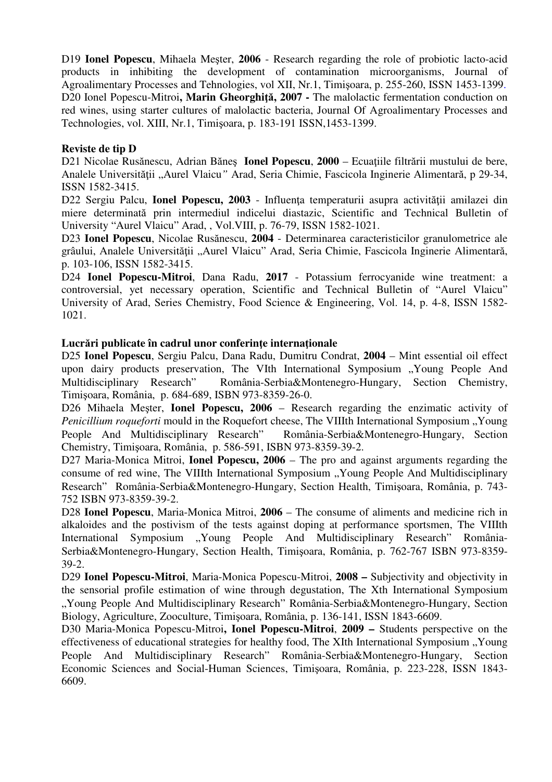D19 **Ionel Popescu**, Mihaela Meşter, **2006** - Research regarding the role of probiotic lacto-acid products in inhibiting the development of contamination microorganisms, Journal of Agroalimentary Processes and Tehnologies, vol XII, Nr.1, Timişoara, p. 255-260, ISSN 1453-1399. D20 Ionel Popescu-Mitroi, Marin Gheorghită, 2007 - The malolactic fermentation conduction on red wines, using starter cultures of malolactic bacteria, Journal Of Agroalimentary Processes and Technologies, vol. XIII, Nr.1, Timişoara, p. 183-191 ISSN,1453-1399.

#### **Reviste de tip D**

D21 Nicolae Rusănescu, Adrian Bănes **Ionel Popescu, 2000** – Ecuatiile filtrării mustului de bere, Analele Universităţii "Aurel Vlaicu*"* Arad, Seria Chimie, Fascicola Inginerie Alimentară, p 29-34, ISSN 1582-3415.

D22 Sergiu Palcu, **Ionel Popescu, 2003** - Influenta temperaturii asupra activității amilazei din miere determinată prin intermediul indicelui diastazic, Scientific and Technical Bulletin of University "Aurel Vlaicu" Arad, , Vol.VIII, p. 76-79, ISSN 1582-1021.

D23 **Ionel Popescu**, Nicolae Rusănescu, **2004** - Determinarea caracteristicilor granulometrice ale grâului, Analele Universității "Aurel Vlaicu" Arad, Seria Chimie, Fascicola Inginerie Alimentară, p. 103-106, ISSN 1582-3415.

D24 **Ionel Popescu-Mitroi**, Dana Radu, **2017** - Potassium ferrocyanide wine treatment: a controversial, yet necessary operation, Scientific and Technical Bulletin of "Aurel Vlaicu" University of Arad, Series Chemistry, Food Science & Engineering, Vol. 14, p. 4-8, ISSN 1582- 1021.

## **Lucr**ă**ri publicate în cadrul unor conferin**ţ**e interna**ţ**ionale**

D25 **Ionel Popescu**, Sergiu Palcu, Dana Radu, Dumitru Condrat, **2004** – Mint essential oil effect upon dairy products preservation, The VIth International Symposium "Young People And Multidisciplinary Research" România-Serbia&Montenegro-Hungary, Section Chemistry, Timişoara, România, p. 684-689, ISBN 973-8359-26-0.

D26 Mihaela Meşter, **Ionel Popescu, 2006** – Research regarding the enzimatic activity of *Penicillium roqueforti* mould in the Roquefort cheese, The VIIIth International Symposium "Young People And Multidisciplinary Research" România-Serbia&Montenegro-Hungary, Section Chemistry, Timişoara, România, p. 586-591, ISBN 973-8359-39-2.

D27 Maria-Monica Mitroi, **Ionel Popescu, 2006** – The pro and against arguments regarding the consume of red wine, The VIIIth International Symposium "Young People And Multidisciplinary" Research" România-Serbia&Montenegro-Hungary, Section Health, Timişoara, România, p. 743- 752 ISBN 973-8359-39-2.

D28 **Ionel Popescu**, Maria-Monica Mitroi, **2006** – The consume of aliments and medicine rich in alkaloides and the postivism of the tests against doping at performance sportsmen, The VIIIth International Symposium "Young People And Multidisciplinary Research" România-Serbia&Montenegro-Hungary, Section Health, Timişoara, România, p. 762-767 ISBN 973-8359- 39-2.

D29 **Ionel Popescu-Mitroi**, Maria-Monica Popescu-Mitroi, **2008 –** Subjectivity and objectivity in the sensorial profile estimation of wine through degustation, The Xth International Symposium "Young People And Multidisciplinary Research" România-Serbia&Montenegro-Hungary, Section Biology, Agriculture, Zooculture, Timişoara, România, p. 136-141, ISSN 1843-6609.

D30 Maria-Monica Popescu-Mitroi**, Ionel Popescu-Mitroi**, **2009 –** Students perspective on the effectiveness of educational strategies for healthy food, The XIth International Symposium "Young People And Multidisciplinary Research" România-Serbia&Montenegro-Hungary, Section Economic Sciences and Social-Human Sciences, Timişoara, România, p. 223-228, ISSN 1843- 6609.